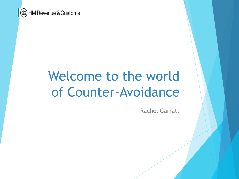

# Welcome to the world of Counter-Avoidance

Rachel Garratt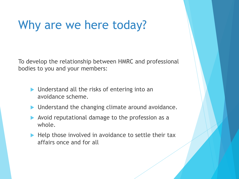### Why are we here today?

To develop the relationship between HMRC and professional bodies to you and your members:

- $\blacktriangleright$  Understand all the risks of entering into an avoidance scheme.
- $\blacktriangleright$  Understand the changing climate around avoidance.
- Avoid reputational damage to the profession as a whole.
- $\blacktriangleright$  Help those involved in avoidance to settle their tax affairs once and for all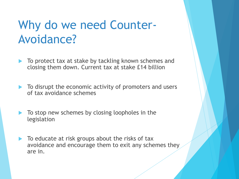## Why do we need Counter-Avoidance?

- To protect tax at stake by tackling known schemes and closing them down. Current tax at stake £14 billion
- To disrupt the economic activity of promoters and users of tax avoidance schemes
- To stop new schemes by closing loopholes in the legislation
- To educate at risk groups about the risks of tax avoidance and encourage them to exit any schemes they are in.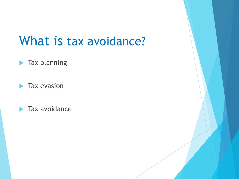## What is tax avoidance?

#### $\blacktriangleright$  Tax planning

 $\blacktriangleright$  Tax evasion

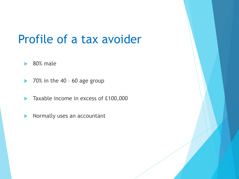### Profile of a tax avoider

- $\blacktriangleright$  80% male
- $\blacktriangleright$  70% in the 40 60 age group
- $\blacktriangleright$  Taxable income in excess of £100,000
- $\blacktriangleright$  Normally uses an accountant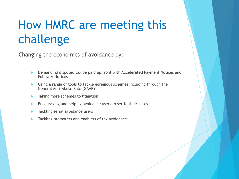## How HMRC are meeting this challenge

Changing the economics of avoidance by:

- Demanding disputed tax be paid up front with Accelerated Payment Notices and Follower Notices
- Using a range of tools to tackle egregious schemes including through the General Anti-Abuse Rule (GAAR)
- Taking more schemes to litigation
- Encouraging and helping avoidance users to settle their cases
- Tackling serial avoidance users
- Tackling promoters and enablers of tax avoidance